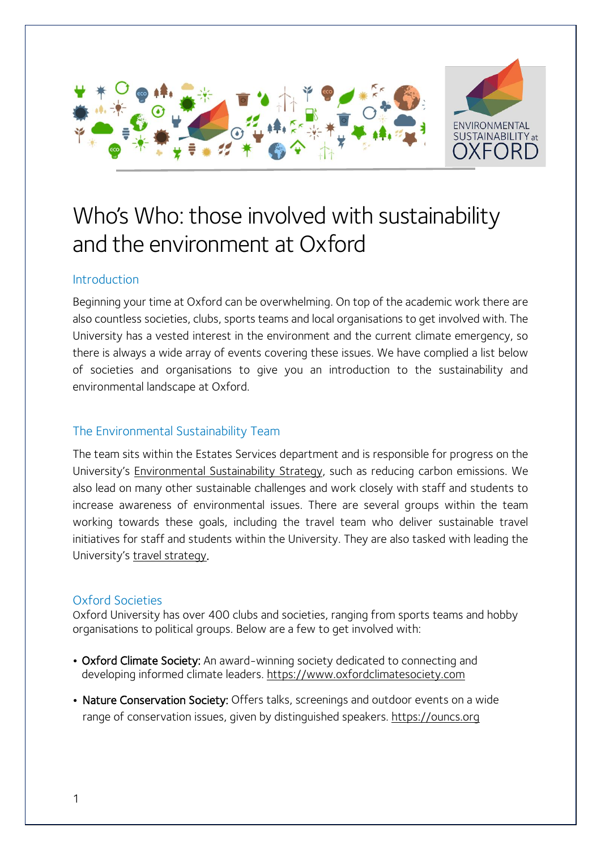

# Who's Who: those involved with sustainability and the environment at Oxford

#### Introduction

Beginning your time at Oxford can be overwhelming. On top of the academic work there are also countless societies, clubs, sports teams and local organisations to get involved with. The University has a vested interest in the environment and the current climate emergency, so there is always a wide array of events covering these issues. We have complied a list below of societies and organisations to give you an introduction to the sustainability and environmental landscape at Oxford.

### The Environmental Sustainability Team

The team sits within the Estates Services department and is responsible for progress on the University's [Environmental](https://sustainability.admin.ox.ac.uk/) Sustainability Strategy, such as reducing carbon emissions. We also lead on many other sustainable challenges and work closely with staff and students to increase awareness of environmental issues. There are several groups within the team working towards these goals, including the travel team who deliver sustainable travel initiatives for staff and students within the University. They are also tasked with leading the University's travel [strategy.](https://travel.admin.ox.ac.uk/car/permits)

#### Oxford Societies

Oxford University has over 400 clubs and societies, ranging from sports teams and hobby organisations to political groups. Below are a few to get involved with:

- Oxford Climate Society: An award-winning society dedicated to connecting and developing informed climate leaders. [https://www.oxfordclimatesociety.com](https://www.oxfordclimatesociety.com/)
- Nature Conservation Society: Offers talks, screenings and outdoor events on a wide range of conservation issues, given by distinguished speakers. [https://ouncs.org](https://ouncs.org/)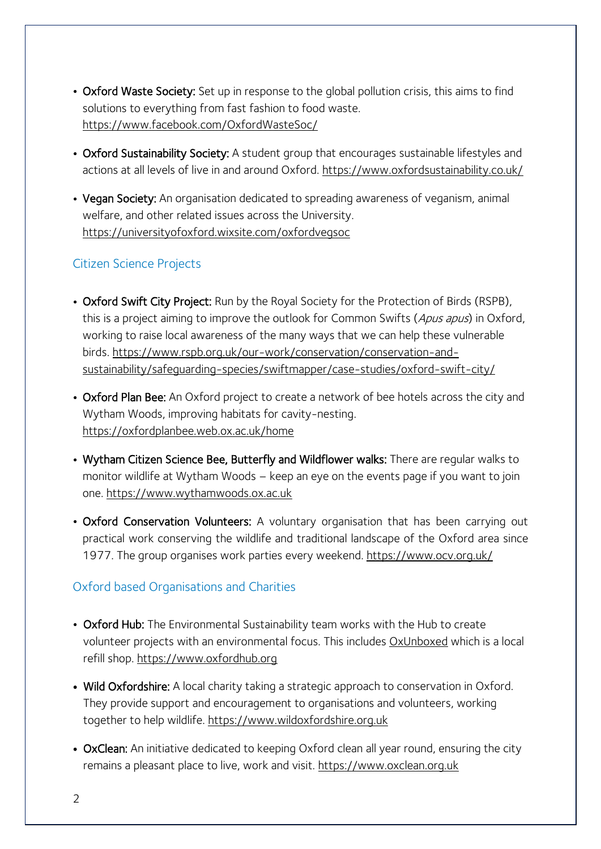- Oxford Waste Society: Set up in response to the global pollution crisis, this aims to find solutions to everything from fast fashion to food waste. <https://www.facebook.com/OxfordWasteSoc/>
- Oxford Sustainability Society: A student group that encourages sustainable lifestyles and actions at all levels of live in and around Oxford. <https://www.oxfordsustainability.co.uk/>
- Vegan Society: An organisation dedicated to spreading awareness of veganism, animal welfare, and other related issues across the University. <https://universityofoxford.wixsite.com/oxfordvegsoc>

## Citizen Science Projects

- Oxford Swift City Project: Run by the Royal Society for the Protection of Birds (RSPB), this is a project aiming to improve the outlook for Common Swifts (Apus apus) in Oxford, working to raise local awareness of the many ways that we can help these vulnerable birds. [https://www.rspb.org.uk/our-work/conservation/conservation-and](https://www.rspb.org.uk/our-work/conservation/conservation-and-sustainability/safeguarding-species/swiftmapper/case-studies/oxford-swift-city/)[sustainability/safeguarding-species/swiftmapper/case-studies/oxford-swift-city/](https://www.rspb.org.uk/our-work/conservation/conservation-and-sustainability/safeguarding-species/swiftmapper/case-studies/oxford-swift-city/)
- Oxford Plan Bee: An Oxford project to create a network of bee hotels across the city and Wytham Woods, improving habitats for cavity-nesting. <https://oxfordplanbee.web.ox.ac.uk/home>
- Wytham Citizen Science Bee, Butterfly and Wildflower walks: There are regular walks to monitor wildlife at Wytham Woods – keep an eye on the events page if you want to join one. [https://www.wythamwoods.ox.ac.uk](https://www.wythamwoods.ox.ac.uk/)
- Oxford Conservation Volunteers: A voluntary organisation that has been carrying out practical work conserving the wildlife and traditional landscape of the Oxford area since 1977. The group organises work parties every weekend. <https://www.ocv.org.uk/>

## Oxford based Organisations and Charities

- Oxford Hub: The Environmental Sustainability team works with the Hub to create volunteer projects with an environmental focus. This includes [OxUnboxed](https://www.oxfordhub.org/oxunboxed) which is a local refill shop. [https://www.oxfordhub.org](https://www.oxfordhub.org/)
- Wild Oxfordshire: A local charity taking a strategic approach to conservation in Oxford. They provide support and encouragement to organisations and volunteers, working together to help wildlife. [https://www.wildoxfordshire.org.uk](https://www.wildoxfordshire.org.uk/)
- OxClean: An initiative dedicated to keeping Oxford clean all year round, ensuring the city remains a pleasant place to live, work and visit. [https://www.oxclean.org.uk](https://www.oxclean.org.uk/)